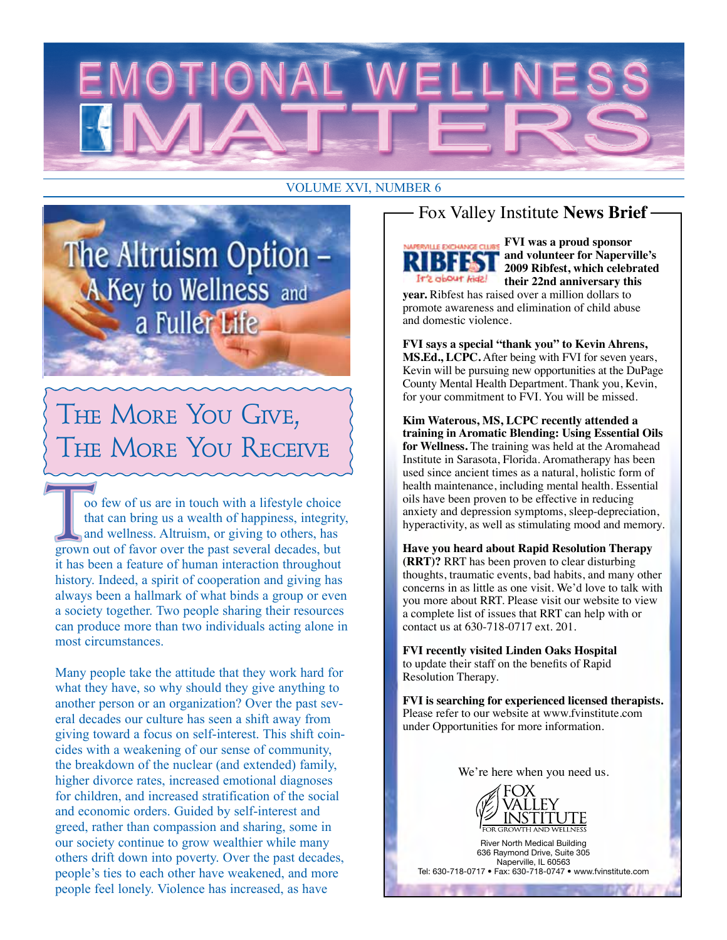#### VOLUME XVI, NUMBER 6



### The More You Give, THE MORE YOU RECEIVE

oo few of us are in touch with a lifestyle choice that can bring us a wealth of happiness, integrity, and wellness. Altruism, or giving to others, has grown out of favor over the past several decades, but it has been a feature of human interaction throughout history. Indeed, a spirit of cooperation and giving has always been a hallmark of what binds a group or even a society together. Two people sharing their resources can produce more than two individuals acting alone in most circumstances.

Many people take the attitude that they work hard for what they have, so why should they give anything to another person or an organization? Over the past several decades our culture has seen a shift away from giving toward a focus on self-interest. This shift coincides with a weakening of our sense of community, the breakdown of the nuclear (and extended) family, higher divorce rates, increased emotional diagnoses for children, and increased stratification of the social and economic orders. Guided by self-interest and greed, rather than compassion and sharing, some in our society continue to grow wealthier while many others drift down into poverty. Over the past decades, people's ties to each other have weakened, and more people feel lonely. Violence has increased, as have

### Fox Valley Institute **News Brief**



**FVI was a proud sponsor and volunteer for Naperville's 2009 Ribfest, which celebrated their 22nd anniversary this** 

**year.** Ribfest has raised over a million dollars to promote awareness and elimination of child abuse and domestic violence.

**FVI says a special "thank you" to Kevin Ahrens, MS.Ed., LCPC.** After being with FVI for seven years, Kevin will be pursuing new opportunities at the DuPage County Mental Health Department. Thank you, Kevin, for your commitment to FVI. You will be missed.

**Kim Waterous, MS, LCPC recently attended a training in Aromatic Blending: Using Essential Oils for Wellness.** The training was held at the Aromahead Institute in Sarasota, Florida. Aromatherapy has been used since ancient times as a natural, holistic form of health maintenance, including mental health. Essential oils have been proven to be effective in reducing anxiety and depression symptoms, sleep-depreciation, hyperactivity, as well as stimulating mood and memory.

**Have you heard about Rapid Resolution Therapy (RRT)?** RRT has been proven to clear disturbing thoughts, traumatic events, bad habits, and many other concerns in as little as one visit. We'd love to talk with you more about RRT. Please visit our website to view a complete list of issues that RRT can help with or contact us at 630-718-0717 ext. 201.

**FVI recently visited Linden Oaks Hospital** to update their staff on the benefits of Rapid Resolution Therapy.

**FVI is searching for experienced licensed therapists.** Please refer to our website at www.fvinstitute.com under Opportunities for more information.

We're here when you need us.



River North Medical Building 636 Raymond Drive, Suite 305 Naperville, IL 60563 Tel: 630-718-0717 • Fax: 630-718-0747 • www.fvinstitute.com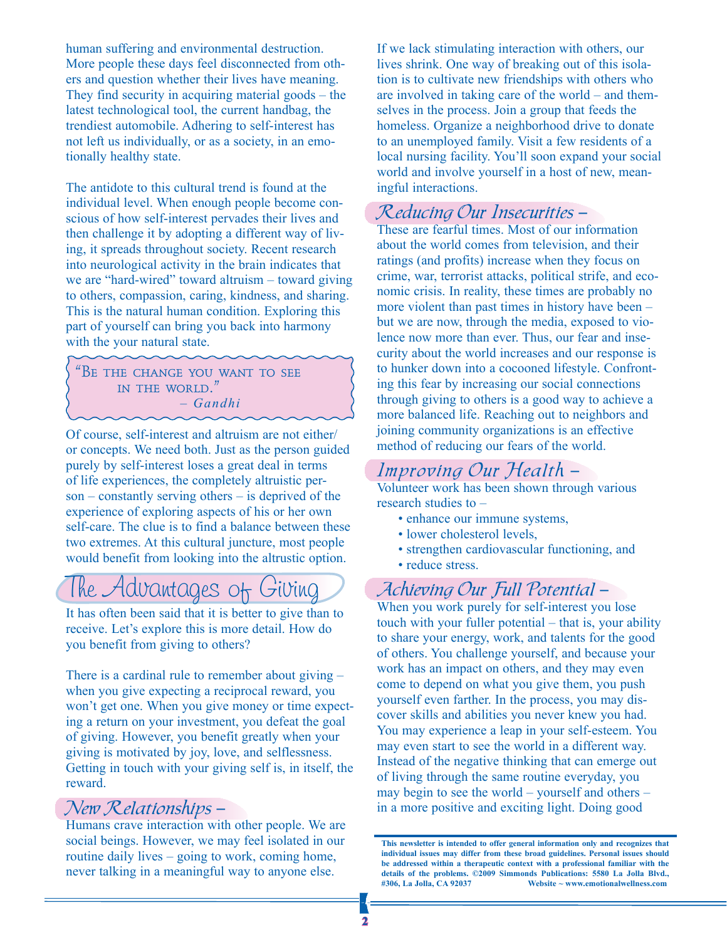human suffering and environmental destruction. More people these days feel disconnected from others and question whether their lives have meaning. They find security in acquiring material goods – the latest technological tool, the current handbag, the trendiest automobile. Adhering to self-interest has not left us individually, or as a society, in an emotionally healthy state.

The antidote to this cultural trend is found at the individual level. When enough people become conscious of how self-interest pervades their lives and then challenge it by adopting a different way of living, it spreads throughout society. Recent research into neurological activity in the brain indicates that we are "hard-wired" toward altruism – toward giving to others, compassion, caring, kindness, and sharing. This is the natural human condition. Exploring this part of yourself can bring you back into harmony with the your natural state.

```
"Be the change you want to see 
in the world."
        – Gandhi
```
Of course, self-interest and altruism are not either/ or concepts. We need both. Just as the person guided purely by self-interest loses a great deal in terms of life experiences, the completely altruistic person – constantly serving others – is deprived of the experience of exploring aspects of his or her own self-care. The clue is to find a balance between these two extremes. At this cultural juncture, most people would benefit from looking into the altrustic option.

### The Advantages of Giving

It has often been said that it is better to give than to receive. Let's explore this is more detail. How do you benefit from giving to others?

There is a cardinal rule to remember about giving – when you give expecting a reciprocal reward, you won't get one. When you give money or time expecting a return on your investment, you defeat the goal of giving. However, you benefit greatly when your giving is motivated by joy, love, and selflessness. Getting in touch with your giving self is, in itself, the reward.

### New Relationships –

Humans crave interaction with other people. We are social beings. However, we may feel isolated in our routine daily lives – going to work, coming home, never talking in a meaningful way to anyone else.

If we lack stimulating interaction with others, our lives shrink. One way of breaking out of this isolation is to cultivate new friendships with others who are involved in taking care of the world – and themselves in the process. Join a group that feeds the homeless. Organize a neighborhood drive to donate to an unemployed family. Visit a few residents of a local nursing facility. You'll soon expand your social world and involve yourself in a host of new, meaningful interactions.

### Reducing Our Insecurities –

These are fearful times. Most of our information about the world comes from television, and their ratings (and profits) increase when they focus on crime, war, terrorist attacks, political strife, and economic crisis. In reality, these times are probably no more violent than past times in history have been – but we are now, through the media, exposed to violence now more than ever. Thus, our fear and insecurity about the world increases and our response is to hunker down into a cocooned lifestyle. Confronting this fear by increasing our social connections through giving to others is a good way to achieve a more balanced life. Reaching out to neighbors and joining community organizations is an effective method of reducing our fears of the world.

### Improving Our Health –

Volunteer work has been shown through various research studies to –

- enhance our immune systems,
- lower cholesterol levels,
- strengthen cardiovascular functioning, and
- reduce stress.

### Achieving Our Full Potential –

When you work purely for self-interest you lose touch with your fuller potential – that is, your ability to share your energy, work, and talents for the good of others. You challenge yourself, and because your work has an impact on others, and they may even come to depend on what you give them, you push yourself even farther. In the process, you may discover skills and abilities you never knew you had. You may experience a leap in your self-esteem. You may even start to see the world in a different way. Instead of the negative thinking that can emerge out of living through the same routine everyday, you may begin to see the world – yourself and others – in a more positive and exciting light. Doing good

**This newsletter is intended to offer general information only and recognizes that individual issues may differ from these broad guidelines. Personal issues should be addressed within a therapeutic context with a professional familiar with the details of the problems. ©2009 Simmonds Publications: 5580 La Jolla Blvd., #306, La Jolla, CA 92037 Website ~ www.emotionalwellness.com**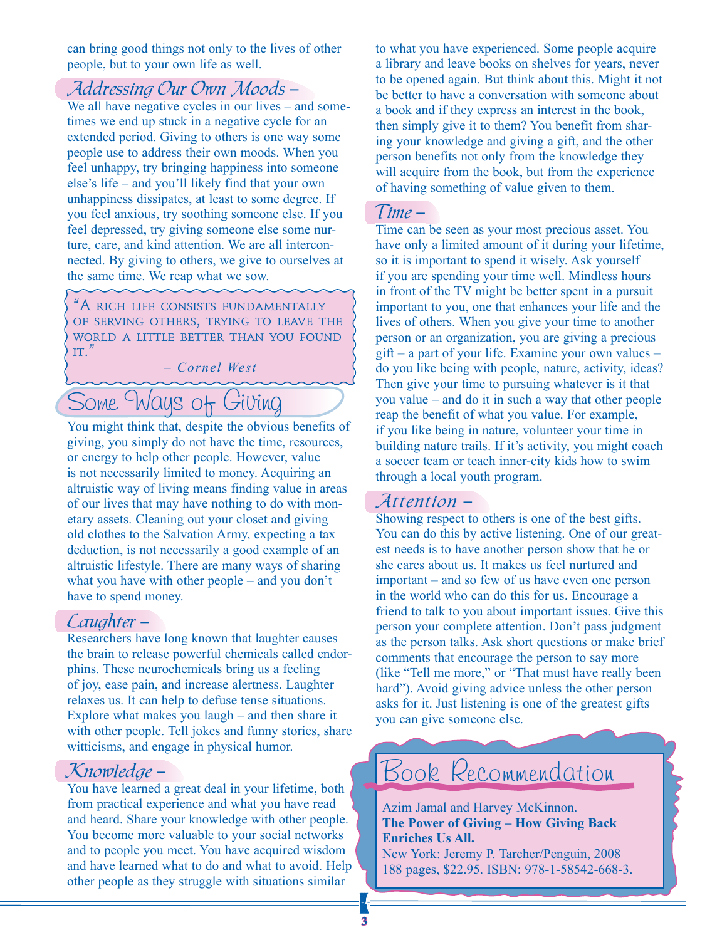can bring good things not only to the lives of other people, but to your own life as well.

### Addressing Our Own Moods –

We all have negative cycles in our lives – and sometimes we end up stuck in a negative cycle for an extended period. Giving to others is one way some people use to address their own moods. When you feel unhappy, try bringing happiness into someone else's life – and you'll likely find that your own unhappiness dissipates, at least to some degree. If you feel anxious, try soothing someone else. If you feel depressed, try giving someone else some nurture, care, and kind attention. We are all interconnected. By giving to others, we give to ourselves at the same time. We reap what we sow.

"A rich life consists fundamentally of serving others, trying to leave the world a little better than you found  $\mathrm{IT.}''$ 

*– Cornel West*

### Some Ways of Giving

You might think that, despite the obvious benefits of giving, you simply do not have the time, resources, or energy to help other people. However, value is not necessarily limited to money. Acquiring an altruistic way of living means finding value in areas of our lives that may have nothing to do with monetary assets. Cleaning out your closet and giving old clothes to the Salvation Army, expecting a tax deduction, is not necessarily a good example of an altruistic lifestyle. There are many ways of sharing what you have with other people – and you don't have to spend money.

### Laughter –

Researchers have long known that laughter causes the brain to release powerful chemicals called endorphins. These neurochemicals bring us a feeling of joy, ease pain, and increase alertness. Laughter relaxes us. It can help to defuse tense situations. Explore what makes you laugh – and then share it with other people. Tell jokes and funny stories, share witticisms, and engage in physical humor.

### Knowledge –

You have learned a great deal in your lifetime, both from practical experience and what you have read and heard. Share your knowledge with other people. You become more valuable to your social networks and to people you meet. You have acquired wisdom and have learned what to do and what to avoid. Help other people as they struggle with situations similar

to what you have experienced. Some people acquire a library and leave books on shelves for years, never to be opened again. But think about this. Might it not be better to have a conversation with someone about a book and if they express an interest in the book, then simply give it to them? You benefit from sharing your knowledge and giving a gift, and the other person benefits not only from the knowledge they will acquire from the book, but from the experience of having something of value given to them.

#### Time –

Time can be seen as your most precious asset. You have only a limited amount of it during your lifetime, so it is important to spend it wisely. Ask yourself if you are spending your time well. Mindless hours in front of the TV might be better spent in a pursuit important to you, one that enhances your life and the lives of others. When you give your time to another person or an organization, you are giving a precious gift – a part of your life. Examine your own values – do you like being with people, nature, activity, ideas? Then give your time to pursuing whatever is it that you value – and do it in such a way that other people reap the benefit of what you value. For example, if you like being in nature, volunteer your time in building nature trails. If it's activity, you might coach a soccer team or teach inner-city kids how to swim through a local youth program.

### Attention –

Showing respect to others is one of the best gifts. You can do this by active listening. One of our greatest needs is to have another person show that he or she cares about us. It makes us feel nurtured and important – and so few of us have even one person in the world who can do this for us. Encourage a friend to talk to you about important issues. Give this person your complete attention. Don't pass judgment as the person talks. Ask short questions or make brief comments that encourage the person to say more (like "Tell me more," or "That must have really been hard"). Avoid giving advice unless the other person asks for it. Just listening is one of the greatest gifts you can give someone else.

## Book Recommendation

Azim Jamal and Harvey McKinnon. **The Power of Giving – How Giving Back Enriches Us All.**

New York: Jeremy P. Tarcher/Penguin, 2008 188 pages, \$22.95. ISBN: 978-1-58542-668-3.